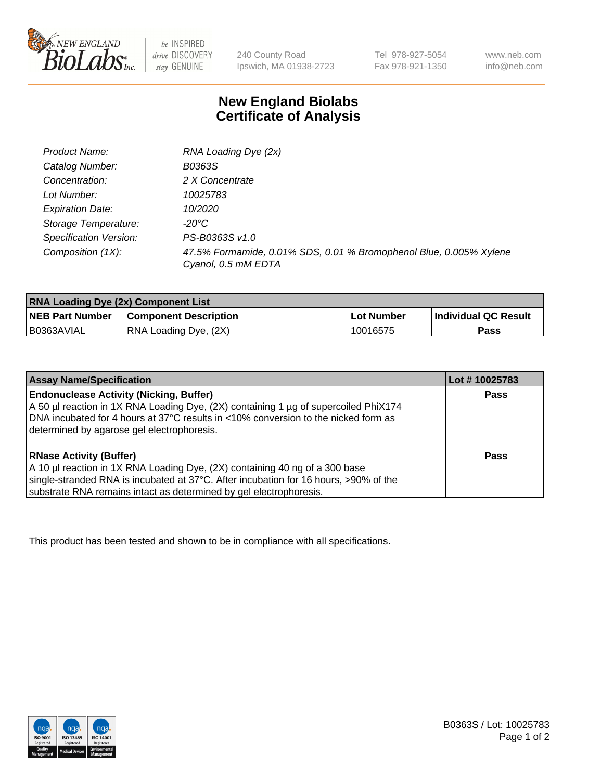

 $be$  INSPIRED drive DISCOVERY stay GENUINE

240 County Road Ipswich, MA 01938-2723 Tel 978-927-5054 Fax 978-921-1350

www.neb.com info@neb.com

## **New England Biolabs Certificate of Analysis**

| Product Name:           | RNA Loading Dye (2x)                                                                      |
|-------------------------|-------------------------------------------------------------------------------------------|
| Catalog Number:         | B0363S                                                                                    |
| Concentration:          | 2 X Concentrate                                                                           |
| Lot Number:             | 10025783                                                                                  |
| <b>Expiration Date:</b> | 10/2020                                                                                   |
| Storage Temperature:    | -20°C                                                                                     |
| Specification Version:  | PS-B0363S v1.0                                                                            |
| Composition (1X):       | 47.5% Formamide, 0.01% SDS, 0.01 % Bromophenol Blue, 0.005% Xylene<br>Cyanol, 0.5 mM EDTA |

| <b>RNA Loading Dye (2x) Component List</b> |                              |            |                             |  |
|--------------------------------------------|------------------------------|------------|-----------------------------|--|
| <b>NEB Part Number</b>                     | <b>Component Description</b> | Lot Number | <b>Individual QC Result</b> |  |
| B0363AVIAL                                 | RNA Loading Dye, (2X)        | 10016575   | Pass                        |  |

| <b>Assay Name/Specification</b>                                                                                                                                                                                                                                             | Lot #10025783 |
|-----------------------------------------------------------------------------------------------------------------------------------------------------------------------------------------------------------------------------------------------------------------------------|---------------|
| <b>Endonuclease Activity (Nicking, Buffer)</b><br>A 50 µl reaction in 1X RNA Loading Dye, (2X) containing 1 µg of supercoiled PhiX174<br>DNA incubated for 4 hours at 37°C results in <10% conversion to the nicked form as<br>determined by agarose gel electrophoresis.   | <b>Pass</b>   |
| <b>RNase Activity (Buffer)</b><br>A 10 µl reaction in 1X RNA Loading Dye, (2X) containing 40 ng of a 300 base<br>single-stranded RNA is incubated at 37°C. After incubation for 16 hours, >90% of the<br>substrate RNA remains intact as determined by gel electrophoresis. | Pass          |

This product has been tested and shown to be in compliance with all specifications.